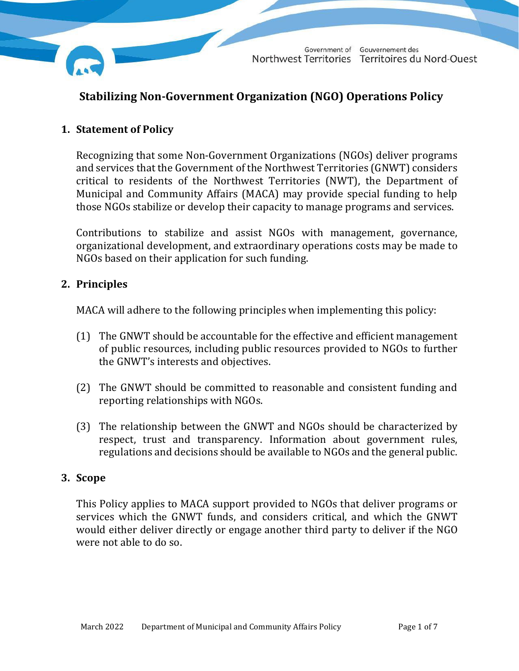

## **Stabilizing Non-Government Organization (NGO) Operations Policy**

### **1. Statement of Policy**

Recognizing that some Non-Government Organizations (NGOs) deliver programs and services that the Government of the Northwest Territories (GNWT) considers critical to residents of the Northwest Territories (NWT), the Department of Municipal and Community Affairs (MACA) may provide special funding to help those NGOs stabilize or develop their capacity to manage programs and services.

Contributions to stabilize and assist NGOs with management, governance, organizational development, and extraordinary operations costs may be made to NGOs based on their application for such funding.

### **2. Principles**

MACA will adhere to the following principles when implementing this policy:

- (1) The GNWT should be accountable for the effective and efficient management of public resources, including public resources provided to NGOs to further the GNWT's interests and objectives.
- (2) The GNWT should be committed to reasonable and consistent funding and reporting relationships with NGOs.
- (3) The relationship between the GNWT and NGOs should be characterized by respect, trust and transparency. Information about government rules, regulations and decisions should be available to NGOs and the general public.

#### **3. Scope**

This Policy applies to MACA support provided to NGOs that deliver programs or services which the GNWT funds, and considers critical, and which the GNWT would either deliver directly or engage another third party to deliver if the NGO were not able to do so.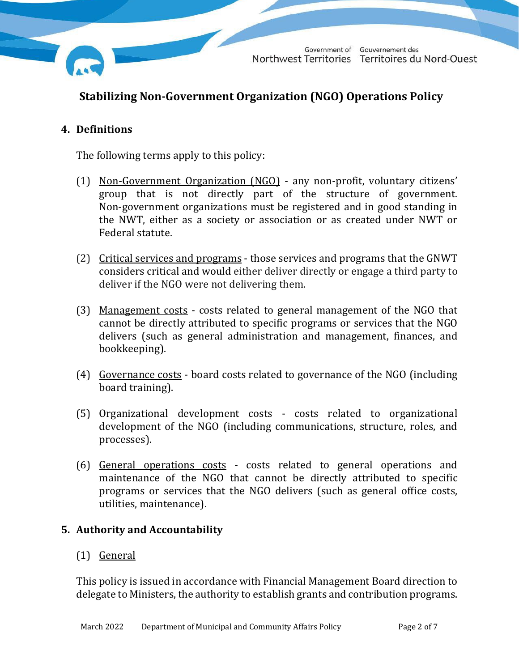

# **Stabilizing Non-Government Organization (NGO) Operations Policy**

### **4. Definitions**

The following terms apply to this policy:

- (1) Non-Government Organization (NGO) any non-profit, voluntary citizens' group that is not directly part of the structure of government. Non-government organizations must be registered and in good standing in the NWT, either as a society or association or as created under NWT or Federal statute.
- (2) Critical services and programs those services and programs that the GNWT considers critical and would either deliver directly or engage a third party to deliver if the NGO were not delivering them.
- (3) Management costs costs related to general management of the NGO that cannot be directly attributed to specific programs or services that the NGO delivers (such as general administration and management, finances, and bookkeeping).
- (4) Governance costs board costs related to governance of the NGO (including board training).
- (5) Organizational development costs costs related to organizational development of the NGO (including communications, structure, roles, and processes).
- (6) General operations costs costs related to general operations and maintenance of the NGO that cannot be directly attributed to specific programs or services that the NGO delivers (such as general office costs, utilities, maintenance).

### **5. Authority and Accountability**

### (1) General

This policy is issued in accordance with Financial Management Board direction to delegate to Ministers, the authority to establish grants and contribution programs.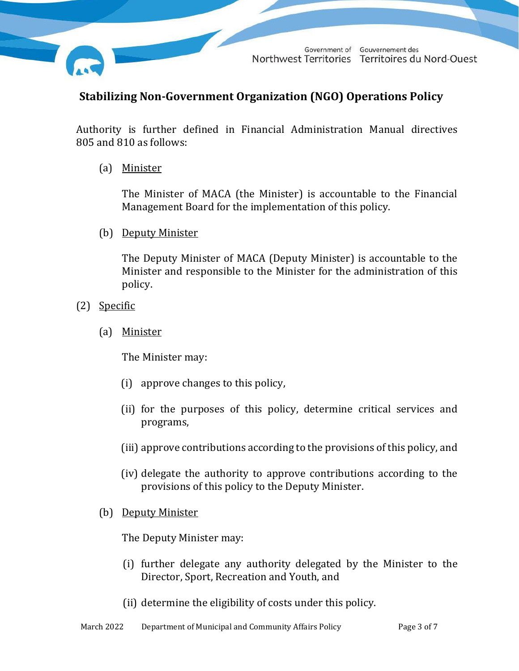

## **Stabilizing Non-Government Organization (NGO) Operations Policy**

Authority is further defined in Financial Administration Manual directives 805 and 810 as follows:

(a) Minister

The Minister of MACA (the Minister) is accountable to the Financial Management Board for the implementation of this policy.

(b) Deputy Minister

The Deputy Minister of MACA (Deputy Minister) is accountable to the Minister and responsible to the Minister for the administration of this policy.

- (2) Specific
	- (a) Minister

The Minister may:

- (i) approve changes to this policy,
- (ii) for the purposes of this policy, determine critical services and programs,
- (iii) approve contributions according to the provisions of this policy, and
- (iv) delegate the authority to approve contributions according to the provisions of this policy to the Deputy Minister.
- (b) Deputy Minister

The Deputy Minister may:

- (i) further delegate any authority delegated by the Minister to the Director, Sport, Recreation and Youth, and
- (ii) determine the eligibility of costs under this policy.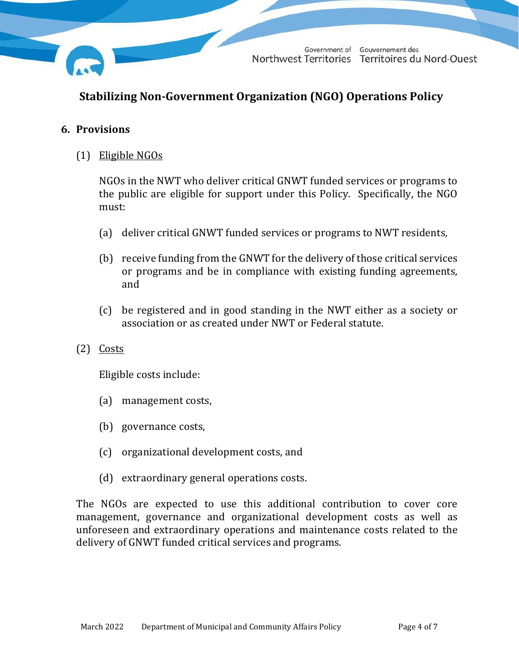

# **Stabilizing Non-Government Organization (NGO) Operations Policy**

### **6. Provisions**

(1) Eligible NGOs

NGOs in the NWT who deliver critical GNWT funded services or programs to the public are eligible for support under this Policy. Specifically, the NGO must:

- (a) deliver critical GNWT funded services or programs to NWT residents,
- (b) receive funding from the GNWT for the delivery of those critical services or programs and be in compliance with existing funding agreements, and
- (c) be registered and in good standing in the NWT either as a society or association or as created under NWT or Federal statute.
- $(2)$  Costs

Eligible costs include:

- (a) management costs,
- (b) governance costs,
- (c) organizational development costs, and
- (d) extraordinary general operations costs.

The NGOs are expected to use this additional contribution to cover core management, governance and organizational development costs as well as unforeseen and extraordinary operations and maintenance costs related to the delivery of GNWT funded critical services and programs.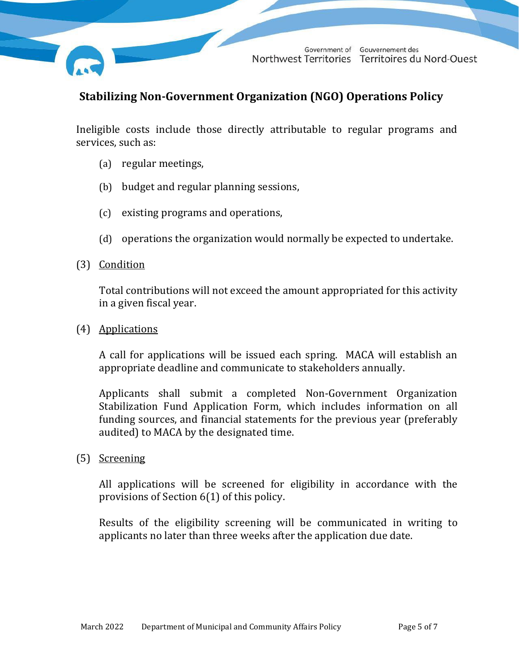

### **Stabilizing Non-Government Organization (NGO) Operations Policy**

Ineligible costs include those directly attributable to regular programs and services, such as:

- (a) regular meetings,
- (b) budget and regular planning sessions,
- (c) existing programs and operations,
- (d) operations the organization would normally be expected to undertake.
- (3) Condition

Total contributions will not exceed the amount appropriated for this activity in a given fiscal year.

(4) Applications

A call for applications will be issued each spring. MACA will establish an appropriate deadline and communicate to stakeholders annually.

Applicants shall submit a completed Non-Government Organization Stabilization Fund Application Form, which includes information on all funding sources, and financial statements for the previous year (preferably audited) to MACA by the designated time.

(5) Screening

All applications will be screened for eligibility in accordance with the provisions of Section 6(1) of this policy.

Results of the eligibility screening will be communicated in writing to applicants no later than three weeks after the application due date.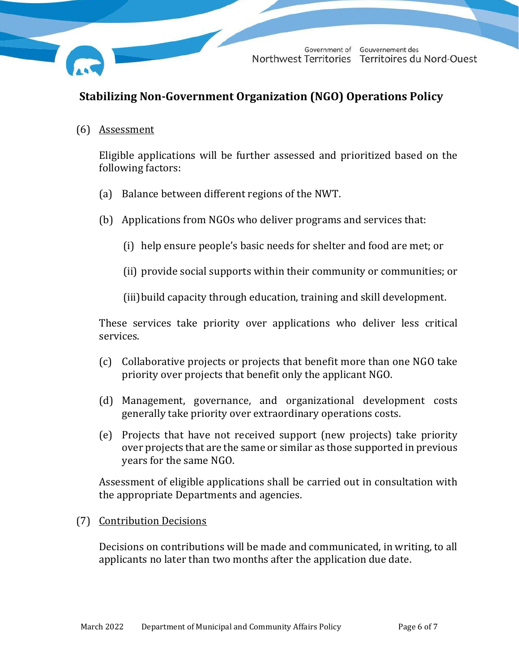

# **Stabilizing Non-Government Organization (NGO) Operations Policy**

(6) Assessment

Eligible applications will be further assessed and prioritized based on the following factors:

- (a) Balance between different regions of the NWT.
- (b) Applications from NGOs who deliver programs and services that:
	- (i) help ensure people's basic needs for shelter and food are met; or
	- (ii) provide social supports within their community or communities; or

(iii)build capacity through education, training and skill development.

These services take priority over applications who deliver less critical services.

- (c) Collaborative projects or projects that benefit more than one NGO take priority over projects that benefit only the applicant NGO.
- (d) Management, governance, and organizational development costs generally take priority over extraordinary operations costs.
- (e) Projects that have not received support (new projects) take priority over projects that are the same or similar as those supported in previous years for the same NGO.

Assessment of eligible applications shall be carried out in consultation with the appropriate Departments and agencies.

#### (7) Contribution Decisions

Decisions on contributions will be made and communicated, in writing, to all applicants no later than two months after the application due date.